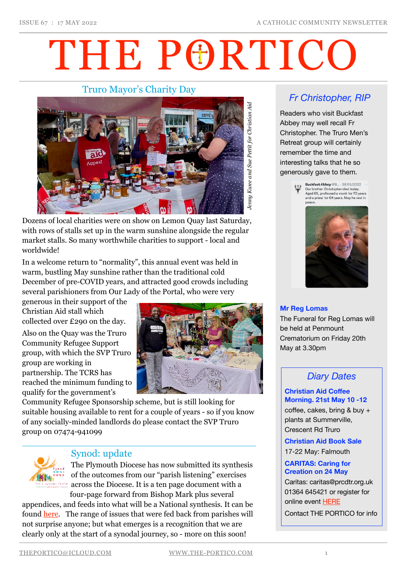# THE PORTICO

## Truro Mayor's Charity Day



Dozens of local charities were on show on Lemon Quay last Saturday, with rows of stalls set up in the warm sunshine alongside the regular market stalls. So many worthwhile charities to support - local and worldwide!

In a welcome return to "normality", this annual event was held in warm, bustling May sunshine rather than the traditional cold December of pre-COVID years, and attracted good crowds including several parishioners from Our Lady of the Portal, who were very

generous in their support of the Christian Aid stall which collected over £290 on the day.

Also on the Quay was the Truro Community Refugee Support group, with which the SVP Truro group are working in partnership. The TCRS has reached the minimum funding to qualify for the government's



Community Refugee Sponsorship scheme, but is still looking for suitable housing available to rent for a couple of years - so if you know of any socially-minded landlords do please contact the SVP Truro group on 07474-941099



## Synod: update

The Plymouth Diocese has now submitted its synthesis of the outcomes from our "parish listening" exercises across the Diocese. It is a ten page document with a four-page forward from Bishop Mark plus several

appendices, and feeds into what will be a National synthesis. It can be found [here](https://www.plymouth-diocese.org.uk/wp-content/uploads/2022/04/Final-report.pdf). The range of issues that were fed back from parishes will not surprise anyone; but what emerges is a recognition that we are clearly only at the start of a synodal journey, so - more on this soon!

# *Fr Christopher, RIP*

Readers who visit Buckfast Abbey may well recall Fr Christopher. The Truro Men's Retreat group will certainly remember the time and interesting talks that he so generously gave to them.





#### **Mr Reg Lomas**

The Funeral for Reg Lomas will be held at Penmount Crematorium on Friday 20th May at 3.30pm

## *Diary Dates*

#### **Christian Aid Coffee Morning. 21st May 10 -12**

coffee, cakes, bring & buy + plants at Summerville, Crescent Rd Truro

**Christian Aid Book Sale** 

17-22 May: Falmouth

#### **CARITAS: Caring for Creation on 24 May**

Caritas: caritas@prcdtr.org.uk 01364 645421 or register for online event [HERE](https://email.workwithgusto.co.uk/t/t-l-qirthht-jltdidjtn-y/)

Contact THE PORTICO for info